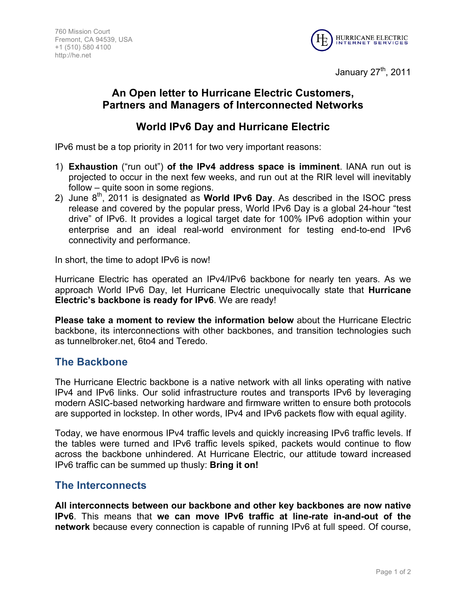

January 27<sup>th</sup>, 2011

# **An Open letter to Hurricane Electric Customers, Partners and Managers of Interconnected Networks**

## **World IPv6 Day and Hurricane Electric**

IPv6 must be a top priority in 2011 for two very important reasons:

- 1) **Exhaustion** ("run out") **of the IPv4 address space is imminent**. IANA run out is projected to occur in the next few weeks, and run out at the RIR level will inevitably follow – quite soon in some regions.
- 2) June 8th, 2011 is designated as **World IPv6 Day**. As described in the ISOC press release and covered by the popular press, World IPv6 Day is a global 24-hour "test drive" of IPv6. It provides a logical target date for 100% IPv6 adoption within your enterprise and an ideal real-world environment for testing end-to-end IPv6 connectivity and performance.

In short, the time to adopt IPv6 is now!

Hurricane Electric has operated an IPv4/IPv6 backbone for nearly ten years. As we approach World IPv6 Day, let Hurricane Electric unequivocally state that **Hurricane Electric's backbone is ready for IPv6**. We are ready!

**Please take a moment to review the information below** about the Hurricane Electric backbone, its interconnections with other backbones, and transition technologies such as tunnelbroker.net, 6to4 and Teredo.

### **The Backbone**

The Hurricane Electric backbone is a native network with all links operating with native IPv4 and IPv6 links. Our solid infrastructure routes and transports IPv6 by leveraging modern ASIC-based networking hardware and firmware written to ensure both protocols are supported in lockstep. In other words, IPv4 and IPv6 packets flow with equal agility.

Today, we have enormous IPv4 traffic levels and quickly increasing IPv6 traffic levels. If the tables were turned and IPv6 traffic levels spiked, packets would continue to flow across the backbone unhindered. At Hurricane Electric, our attitude toward increased IPv6 traffic can be summed up thusly: **Bring it on!**

### **The Interconnects**

**All interconnects between our backbone and other key backbones are now native IPv6**. This means that **we can move IPv6 traffic at line-rate in-and-out of the network** because every connection is capable of running IPv6 at full speed. Of course,